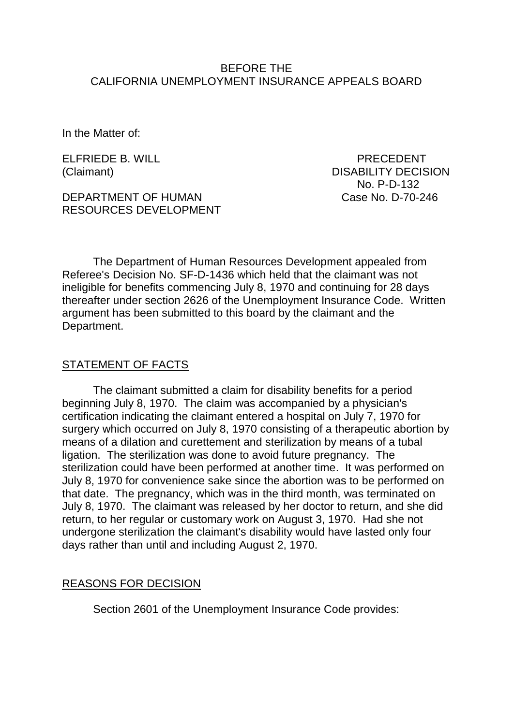### BEFORE THE CALIFORNIA UNEMPLOYMENT INSURANCE APPEALS BOARD

In the Matter of:

ELFRIEDE B. WILL PRECEDENT

DEPARTMENT OF HUMAN Case No. D-70-246 RESOURCES DEVELOPMENT

(Claimant) DISABILITY DECISION No. P-D-132

The Department of Human Resources Development appealed from Referee's Decision No. SF-D-1436 which held that the claimant was not ineligible for benefits commencing July 8, 1970 and continuing for 28 days thereafter under section 2626 of the Unemployment Insurance Code. Written argument has been submitted to this board by the claimant and the Department.

### STATEMENT OF FACTS

The claimant submitted a claim for disability benefits for a period beginning July 8, 1970. The claim was accompanied by a physician's certification indicating the claimant entered a hospital on July 7, 1970 for surgery which occurred on July 8, 1970 consisting of a therapeutic abortion by means of a dilation and curettement and sterilization by means of a tubal ligation. The sterilization was done to avoid future pregnancy. The sterilization could have been performed at another time. It was performed on July 8, 1970 for convenience sake since the abortion was to be performed on that date. The pregnancy, which was in the third month, was terminated on July 8, 1970. The claimant was released by her doctor to return, and she did return, to her regular or customary work on August 3, 1970. Had she not undergone sterilization the claimant's disability would have lasted only four days rather than until and including August 2, 1970.

### REASONS FOR DECISION

Section 2601 of the Unemployment Insurance Code provides: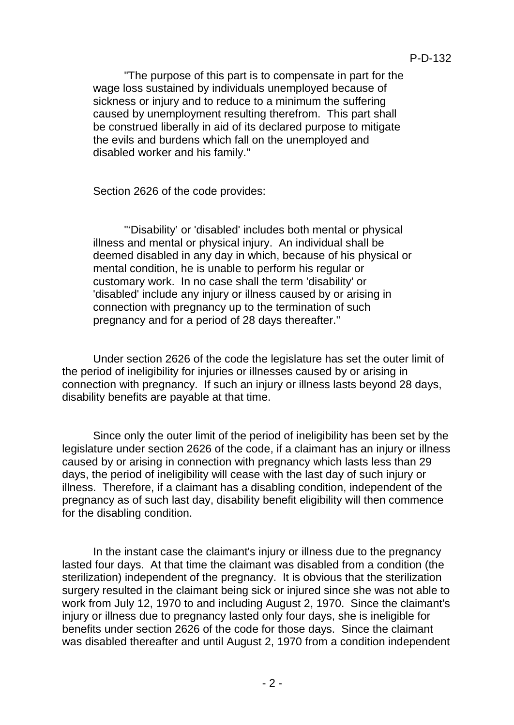"The purpose of this part is to compensate in part for the wage loss sustained by individuals unemployed because of sickness or injury and to reduce to a minimum the suffering caused by unemployment resulting therefrom. This part shall be construed liberally in aid of its declared purpose to mitigate the evils and burdens which fall on the unemployed and disabled worker and his family."

Section 2626 of the code provides:

"'Disability' or 'disabled' includes both mental or physical illness and mental or physical injury. An individual shall be deemed disabled in any day in which, because of his physical or mental condition, he is unable to perform his regular or customary work. In no case shall the term 'disability' or 'disabled' include any injury or illness caused by or arising in connection with pregnancy up to the termination of such pregnancy and for a period of 28 days thereafter."

Under section 2626 of the code the legislature has set the outer limit of the period of ineligibility for injuries or illnesses caused by or arising in connection with pregnancy. If such an injury or illness lasts beyond 28 days, disability benefits are payable at that time.

Since only the outer limit of the period of ineligibility has been set by the legislature under section 2626 of the code, if a claimant has an injury or illness caused by or arising in connection with pregnancy which lasts less than 29 days, the period of ineligibility will cease with the last day of such injury or illness. Therefore, if a claimant has a disabling condition, independent of the pregnancy as of such last day, disability benefit eligibility will then commence for the disabling condition.

In the instant case the claimant's injury or illness due to the pregnancy lasted four days. At that time the claimant was disabled from a condition (the sterilization) independent of the pregnancy. It is obvious that the sterilization surgery resulted in the claimant being sick or injured since she was not able to work from July 12, 1970 to and including August 2, 1970. Since the claimant's injury or illness due to pregnancy lasted only four days, she is ineligible for benefits under section 2626 of the code for those days. Since the claimant was disabled thereafter and until August 2, 1970 from a condition independent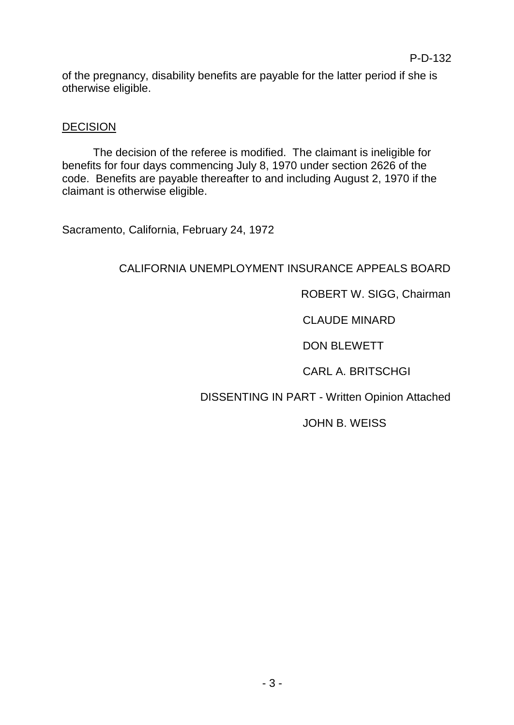of the pregnancy, disability benefits are payable for the latter period if she is otherwise eligible.

## **DECISION**

The decision of the referee is modified. The claimant is ineligible for benefits for four days commencing July 8, 1970 under section 2626 of the code. Benefits are payable thereafter to and including August 2, 1970 if the claimant is otherwise eligible.

Sacramento, California, February 24, 1972

# CALIFORNIA UNEMPLOYMENT INSURANCE APPEALS BOARD

## ROBERT W. SIGG, Chairman

# CLAUDE MINARD

# DON BLEWETT

# CARL A. BRITSCHGI

# DISSENTING IN PART - Written Opinion Attached

### JOHN B. WEISS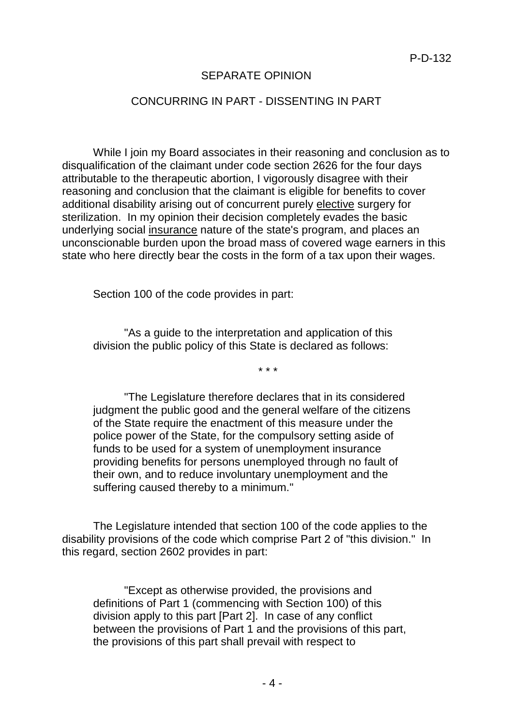### SEPARATE OPINION

### CONCURRING IN PART - DISSENTING IN PART

While I join my Board associates in their reasoning and conclusion as to disqualification of the claimant under code section 2626 for the four days attributable to the therapeutic abortion, I vigorously disagree with their reasoning and conclusion that the claimant is eligible for benefits to cover additional disability arising out of concurrent purely elective surgery for sterilization. In my opinion their decision completely evades the basic underlying social insurance nature of the state's program, and places an unconscionable burden upon the broad mass of covered wage earners in this state who here directly bear the costs in the form of a tax upon their wages.

Section 100 of the code provides in part:

"As a guide to the interpretation and application of this division the public policy of this State is declared as follows:

\* \* \*

"The Legislature therefore declares that in its considered judgment the public good and the general welfare of the citizens of the State require the enactment of this measure under the police power of the State, for the compulsory setting aside of funds to be used for a system of unemployment insurance providing benefits for persons unemployed through no fault of their own, and to reduce involuntary unemployment and the suffering caused thereby to a minimum."

The Legislature intended that section 100 of the code applies to the disability provisions of the code which comprise Part 2 of "this division." In this regard, section 2602 provides in part:

"Except as otherwise provided, the provisions and definitions of Part 1 (commencing with Section 100) of this division apply to this part [Part 2]. In case of any conflict between the provisions of Part 1 and the provisions of this part, the provisions of this part shall prevail with respect to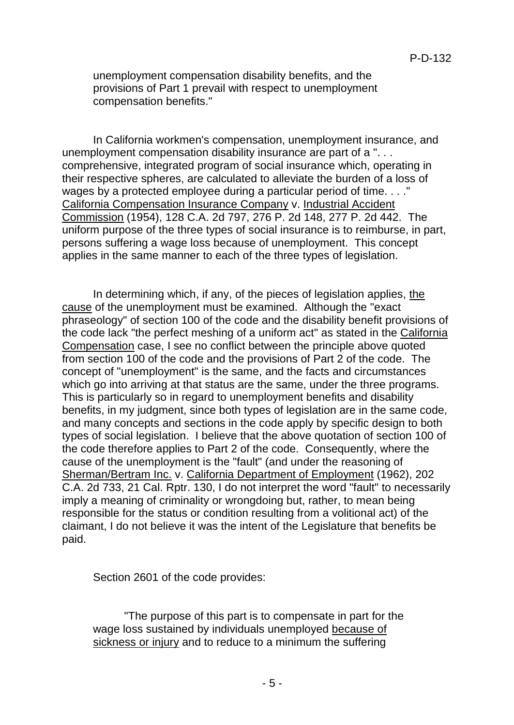unemployment compensation disability benefits, and the provisions of Part 1 prevail with respect to unemployment compensation benefits."

In California workmen's compensation, unemployment insurance, and unemployment compensation disability insurance are part of a ". . . comprehensive, integrated program of social insurance which, operating in their respective spheres, are calculated to alleviate the burden of a loss of wages by a protected employee during a particular period of time. . . ." California Compensation Insurance Company v. Industrial Accident Commission (1954), 128 C.A. 2d 797, 276 P. 2d 148, 277 P. 2d 442. The uniform purpose of the three types of social insurance is to reimburse, in part, persons suffering a wage loss because of unemployment. This concept applies in the same manner to each of the three types of legislation.

In determining which, if any, of the pieces of legislation applies, the cause of the unemployment must be examined. Although the "exact phraseology" of section 100 of the code and the disability benefit provisions of the code lack "the perfect meshing of a uniform act" as stated in the California Compensation case, I see no conflict between the principle above quoted from section 100 of the code and the provisions of Part 2 of the code. The concept of "unemployment" is the same, and the facts and circumstances which go into arriving at that status are the same, under the three programs. This is particularly so in regard to unemployment benefits and disability benefits, in my judgment, since both types of legislation are in the same code, and many concepts and sections in the code apply by specific design to both types of social legislation. I believe that the above quotation of section 100 of the code therefore applies to Part 2 of the code. Consequently, where the cause of the unemployment is the "fault" (and under the reasoning of Sherman/Bertram Inc. v. California Department of Employment (1962), 202 C.A. 2d 733, 21 Cal. Rptr. 130, I do not interpret the word "fault" to necessarily imply a meaning of criminality or wrongdoing but, rather, to mean being responsible for the status or condition resulting from a volitional act) of the claimant, I do not believe it was the intent of the Legislature that benefits be paid.

Section 2601 of the code provides:

"The purpose of this part is to compensate in part for the wage loss sustained by individuals unemployed because of sickness or injury and to reduce to a minimum the suffering